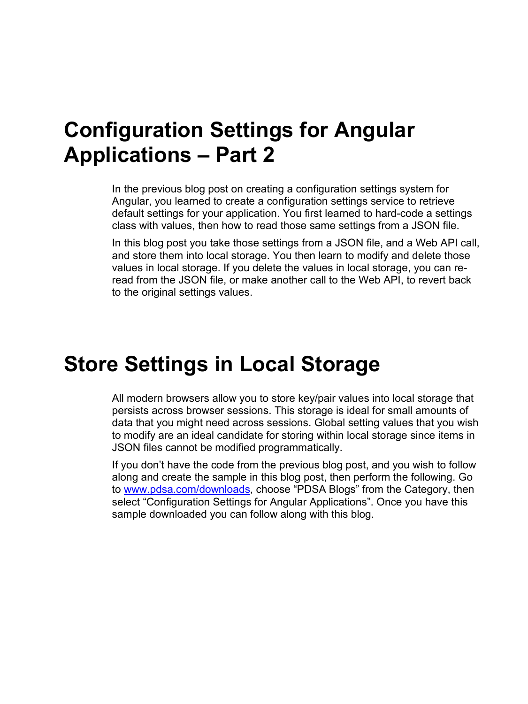### **Configuration Settings for Angular Applications – Part 2**

In the previous blog post on creating a configuration settings system for Angular, you learned to create a configuration settings service to retrieve default settings for your application. You first learned to hard-code a settings class with values, then how to read those same settings from a JSON file.

In this blog post you take those settings from a JSON file, and a Web API call, and store them into local storage. You then learn to modify and delete those values in local storage. If you delete the values in local storage, you can reread from the JSON file, or make another call to the Web API, to revert back to the original settings values.

### **Store Settings in Local Storage**

All modern browsers allow you to store key/pair values into local storage that persists across browser sessions. This storage is ideal for small amounts of data that you might need across sessions. Global setting values that you wish to modify are an ideal candidate for storing within local storage since items in JSON files cannot be modified programmatically.

If you don't have the code from the previous blog post, and you wish to follow along and create the sample in this blog post, then perform the following. Go to [www.pdsa.com/downloads,](http://www.pdsa.com/downloads) choose "PDSA Blogs" from the Category, then select "Configuration Settings for Angular Applications". Once you have this sample downloaded you can follow along with this blog.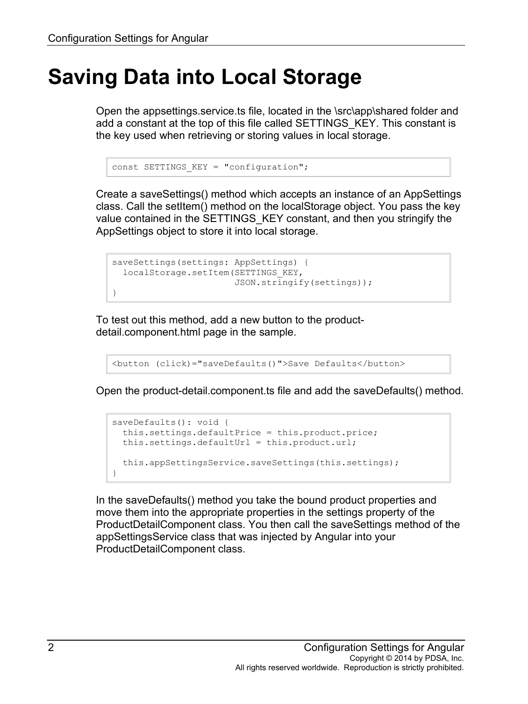## **Saving Data into Local Storage**

Open the appsettings.service.ts file, located in the \src\app\shared folder and add a constant at the top of this file called SETTINGS\_KEY. This constant is the key used when retrieving or storing values in local storage.

```
const SETTINGS KEY = "configuration";
```
Create a saveSettings() method which accepts an instance of an AppSettings class. Call the setItem() method on the localStorage object. You pass the key value contained in the SETTINGS\_KEY constant, and then you stringify the AppSettings object to store it into local storage.

```
saveSettings(settings: AppSettings) {
  localStorage.setItem(SETTINGS_KEY,
                        JSON.stringify(settings));
}
```
To test out this method, add a new button to the productdetail.component.html page in the sample.

```
<button (click)="saveDefaults()">Save Defaults</button>
```
Open the product-detail.component.ts file and add the saveDefaults() method.

```
saveDefaults(): void {
  this.settings.defaultPrice = this.product.price;
  this.settings.defaultUrl = this.product.url;
  this.appSettingsService.saveSettings(this.settings);
}
```
In the saveDefaults() method you take the bound product properties and move them into the appropriate properties in the settings property of the ProductDetailComponent class. You then call the saveSettings method of the appSettingsService class that was injected by Angular into your ProductDetailComponent class.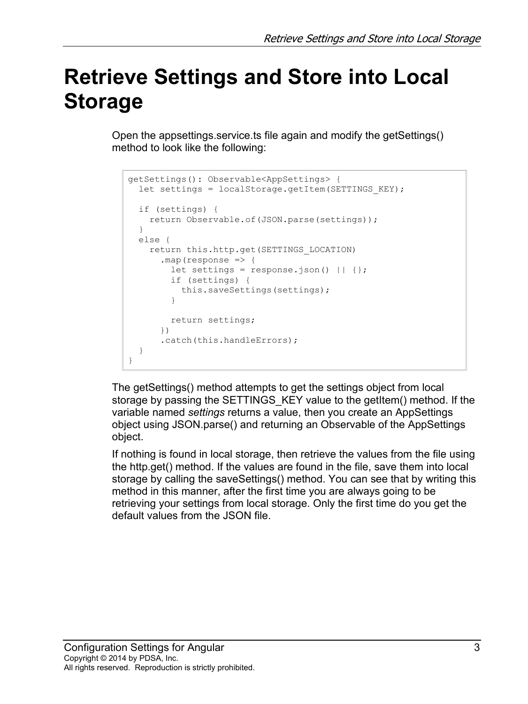# **Retrieve Settings and Store into Local Storage**

Open the appsettings.service.ts file again and modify the getSettings() method to look like the following:

```
getSettings(): Observable<AppSettings> {
  let settings = localStorage.getItem(SETTINGS_KEY);
  if (settings) {
     return Observable.of(JSON.parse(settings));
   }
  else {
    return this.http.get(SETTINGS_LOCATION)
       .map(response => {
        let settings = response.json() || {};
         if (settings) {
           this.saveSettings(settings);
 }
         return settings;
       })
      .catch(this.handleErrors);
   }
}
```
The getSettings() method attempts to get the settings object from local storage by passing the SETTINGS KEY value to the getItem() method. If the variable named *settings* returns a value, then you create an AppSettings object using JSON.parse() and returning an Observable of the AppSettings object.

If nothing is found in local storage, then retrieve the values from the file using the http.get() method. If the values are found in the file, save them into local storage by calling the saveSettings() method. You can see that by writing this method in this manner, after the first time you are always going to be retrieving your settings from local storage. Only the first time do you get the default values from the JSON file.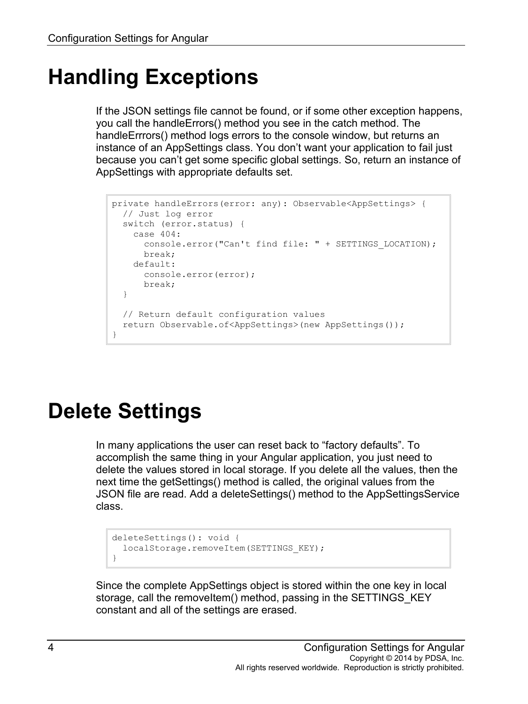## **Handling Exceptions**

If the JSON settings file cannot be found, or if some other exception happens, you call the handleErrors() method you see in the catch method. The handleErrrors() method logs errors to the console window, but returns an instance of an AppSettings class. You don't want your application to fail just because you can't get some specific global settings. So, return an instance of AppSettings with appropriate defaults set.

```
private handleErrors(error: any): Observable<AppSettings> {
  // Just log error
  switch (error.status) {
    case 404:
      console.error("Can't find file: " + SETTINGS_LOCATION);
      break;
     default:
      console.error(error);
      break;
   }
   // Return default configuration values
  return Observable.of<AppSettings>(new AppSettings());
}
```
# **Delete Settings**

In many applications the user can reset back to "factory defaults". To accomplish the same thing in your Angular application, you just need to delete the values stored in local storage. If you delete all the values, then the next time the getSettings() method is called, the original values from the JSON file are read. Add a deleteSettings() method to the AppSettingsService class.

```
deleteSettings(): void {
  localStorage.removeItem(SETTINGS KEY);
}
```
Since the complete AppSettings object is stored within the one key in local storage, call the removeItem() method, passing in the SETTINGS KEY constant and all of the settings are erased.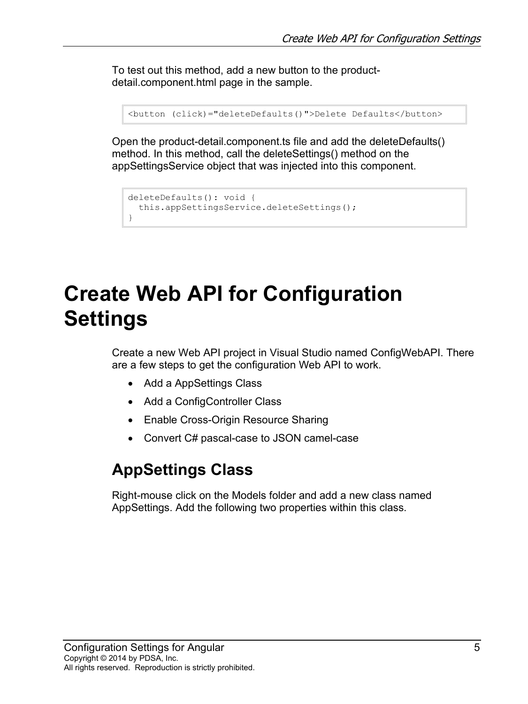To test out this method, add a new button to the productdetail.component.html page in the sample.

```
<button (click)="deleteDefaults()">Delete Defaults</button>
```
Open the product-detail.component.ts file and add the deleteDefaults() method. In this method, call the deleteSettings() method on the appSettingsService object that was injected into this component.

```
deleteDefaults(): void {
  this.appSettingsService.deleteSettings();
}
```
# **Create Web API for Configuration Settings**

Create a new Web API project in Visual Studio named ConfigWebAPI. There are a few steps to get the configuration Web API to work.

- Add a AppSettings Class
- Add a ConfigController Class
- Enable Cross-Origin Resource Sharing
- Convert C# pascal-case to JSON camel-case

#### **AppSettings Class**

Right-mouse click on the Models folder and add a new class named AppSettings. Add the following two properties within this class.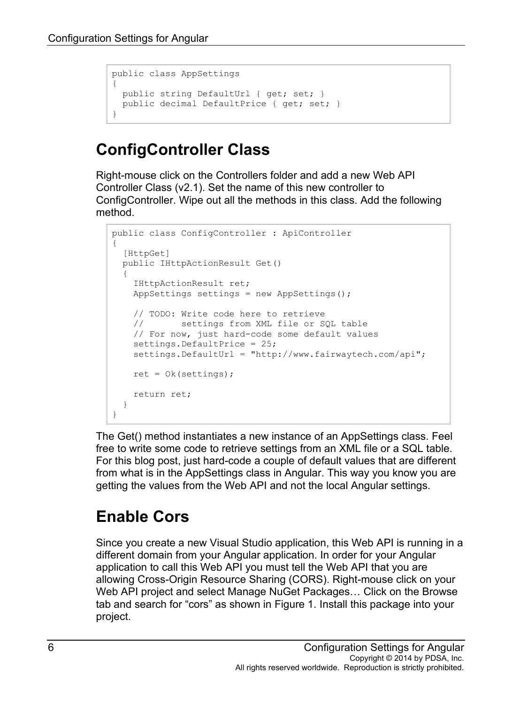```
public class AppSettings
{
  public string DefaultUrl { get; set; }
  public decimal DefaultPrice { get; set; }
}
```
### **ConfigController Class**

Right-mouse click on the Controllers folder and add a new Web API Controller Class (v2.1). Set the name of this new controller to ConfigController. Wipe out all the methods in this class. Add the following method.

```
public class ConfigController : ApiController
{
  [HttpGet]
  public IHttpActionResult Get()
\{ IHttpActionResult ret;
    AppSettings settings = new AppSettings();
     // TODO: Write code here to retrieve 
     // settings from XML file or SQL table
    // For now, just hard-code some default values
   settings.DefaultPrice = 25;
    settings.DefaultUrl = "http://www.fairwaytech.com/api";
   ret = 0k(settings); return ret;
  }
}
```
The Get() method instantiates a new instance of an AppSettings class. Feel free to write some code to retrieve settings from an XML file or a SQL table. For this blog post, just hard-code a couple of default values that are different from what is in the AppSettings class in Angular. This way you know you are getting the values from the Web API and not the local Angular settings.

### **Enable Cors**

Since you create a new Visual Studio application, this Web API is running in a different domain from your Angular application. In order for your Angular application to call this Web API you must tell the Web API that you are allowing Cross-Origin Resource Sharing (CORS). Right-mouse click on your Web API project and select Manage NuGet Packages… Click on the Browse tab and search for "cors" as shown in Figure 1. Install this package into your project.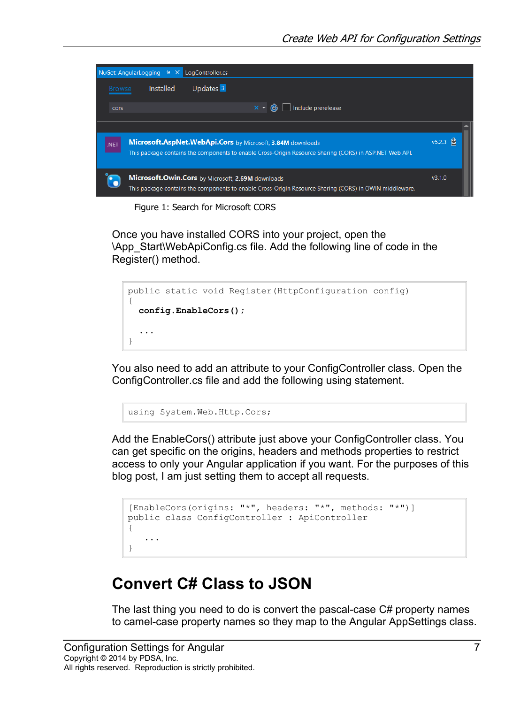

Figure 1: Search for Microsoft CORS

Once you have installed CORS into your project, open the \App\_Start\WebApiConfig.cs file. Add the following line of code in the Register() method.

```
public static void Register(HttpConfiguration config)
{
   config.EnableCors();
   ...
}
```
You also need to add an attribute to your ConfigController class. Open the ConfigController.cs file and add the following using statement.

using System.Web.Http.Cors;

Add the EnableCors() attribute just above your ConfigController class. You can get specific on the origins, headers and methods properties to restrict access to only your Angular application if you want. For the purposes of this blog post, I am just setting them to accept all requests.

```
[EnableCors(origins: "*", headers: "*", methods: "*")]
public class ConfigController : ApiController
{
 ...
}
```
#### **Convert C# Class to JSON**

The last thing you need to do is convert the pascal-case C# property names to camel-case property names so they map to the Angular AppSettings class.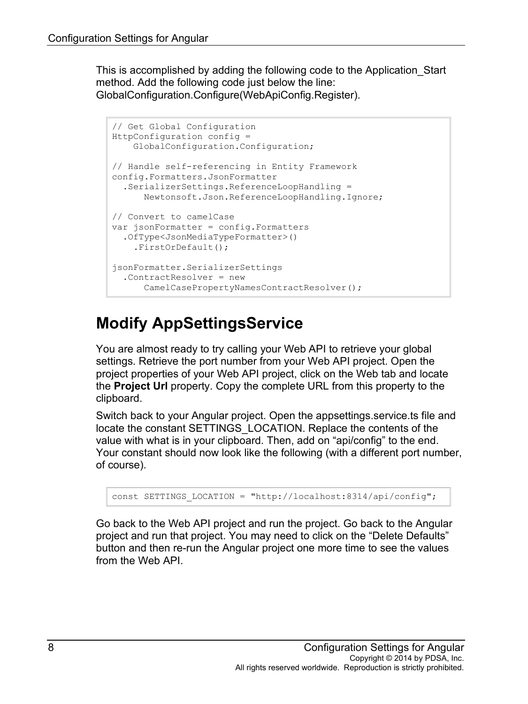This is accomplished by adding the following code to the Application\_Start method. Add the following code just below the line: GlobalConfiguration.Configure(WebApiConfig.Register).

```
// Get Global Configuration
HttpConfiguration config =
     GlobalConfiguration.Configuration;
// Handle self-referencing in Entity Framework
config.Formatters.JsonFormatter
   .SerializerSettings.ReferenceLoopHandling =
       Newtonsoft.Json.ReferenceLoopHandling.Ignore;
// Convert to camelCase
var jsonFormatter = config.Formatters
   .OfType<JsonMediaTypeFormatter>()
     .FirstOrDefault();
jsonFormatter.SerializerSettings
   .ContractResolver = new
      CamelCasePropertyNamesContractResolver();
```
### **Modify AppSettingsService**

You are almost ready to try calling your Web API to retrieve your global settings. Retrieve the port number from your Web API project. Open the project properties of your Web API project, click on the Web tab and locate the **Project Url** property. Copy the complete URL from this property to the clipboard.

Switch back to your Angular project. Open the appsettings.service.ts file and locate the constant SETTINGS\_LOCATION. Replace the contents of the value with what is in your clipboard. Then, add on "api/config" to the end. Your constant should now look like the following (with a different port number, of course).

```
const SETTINGS_LOCATION = "http://localhost:8314/api/config";
```
Go back to the Web API project and run the project. Go back to the Angular project and run that project. You may need to click on the "Delete Defaults" button and then re-run the Angular project one more time to see the values from the Web API.